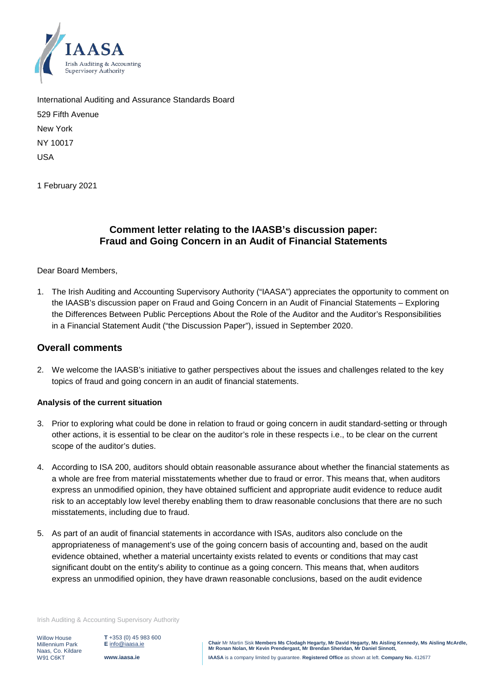

International Auditing and Assurance Standards Board 529 Fifth Avenue New York NY 10017 USA

1 February 2021

# **Comment letter relating to the IAASB's discussion paper: Fraud and Going Concern in an Audit of Financial Statements**

### Dear Board Members,

1. The Irish Auditing and Accounting Supervisory Authority ("IAASA") appreciates the opportunity to comment on the IAASB's discussion paper on Fraud and Going Concern in an Audit of Financial Statements – Exploring the Differences Between Public Perceptions About the Role of the Auditor and the Auditor's Responsibilities in a Financial Statement Audit ("the Discussion Paper"), issued in September 2020.

### **Overall comments**

2. We welcome the IAASB's initiative to gather perspectives about the issues and challenges related to the key topics of fraud and going concern in an audit of financial statements.

### **Analysis of the current situation**

- 3. Prior to exploring what could be done in relation to fraud or going concern in audit standard-setting or through other actions, it is essential to be clear on the auditor's role in these respects i.e., to be clear on the current scope of the auditor's duties.
- 4. According to ISA 200, auditors should obtain reasonable assurance about whether the financial statements as a whole are free from material misstatements whether due to fraud or error. This means that, when auditors express an unmodified opinion, they have obtained sufficient and appropriate audit evidence to reduce audit risk to an acceptably low level thereby enabling them to draw reasonable conclusions that there are no such misstatements, including due to fraud.
- 5. As part of an audit of financial statements in accordance with ISAs, auditors also conclude on the appropriateness of management's use of the going concern basis of accounting and, based on the audit evidence obtained, whether a material uncertainty exists related to events or conditions that may cast significant doubt on the entity's ability to continue as a going concern. This means that, when auditors express an unmodified opinion, they have drawn reasonable conclusions, based on the audit evidence

Irish Auditing & Accounting Supervisory Authority

Willow House Millennium Park Naas, Co. Kildare W91 C6KT

**T** +353 (0) 45 983 600 **E** [info@iaasa.ie](mailto:info@iaasa.ie) **www.iaasa.ie**

**Chair** Mr Martin Sisk **Members Ms Clodagh Hegarty, Mr David Hegarty, Ms Aisling Kennedy, Ms Aisling McArdle, Mr Ronan Nolan, Mr Kevin Prendergast, Mr Brendan Sheridan, Mr Daniel Sinnott, IAASA** is a company limited by guarantee. **Registered Office** as shown at left. **Company No.** 412677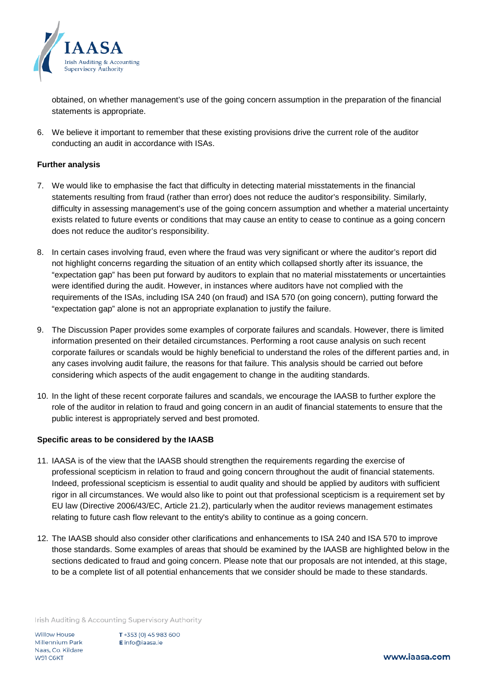

obtained, on whether management's use of the going concern assumption in the preparation of the financial statements is appropriate.

6. We believe it important to remember that these existing provisions drive the current role of the auditor conducting an audit in accordance with ISAs.

### **Further analysis**

- 7. We would like to emphasise the fact that difficulty in detecting material misstatements in the financial statements resulting from fraud (rather than error) does not reduce the auditor's responsibility. Similarly, difficulty in assessing management's use of the going concern assumption and whether a material uncertainty exists related to future events or conditions that may cause an entity to cease to continue as a going concern does not reduce the auditor's responsibility.
- 8. In certain cases involving fraud, even where the fraud was very significant or where the auditor's report did not highlight concerns regarding the situation of an entity which collapsed shortly after its issuance, the "expectation gap" has been put forward by auditors to explain that no material misstatements or uncertainties were identified during the audit. However, in instances where auditors have not complied with the requirements of the ISAs, including ISA 240 (on fraud) and ISA 570 (on going concern), putting forward the "expectation gap" alone is not an appropriate explanation to justify the failure.
- 9. The Discussion Paper provides some examples of corporate failures and scandals. However, there is limited information presented on their detailed circumstances. Performing a root cause analysis on such recent corporate failures or scandals would be highly beneficial to understand the roles of the different parties and, in any cases involving audit failure, the reasons for that failure. This analysis should be carried out before considering which aspects of the audit engagement to change in the auditing standards.
- 10. In the light of these recent corporate failures and scandals, we encourage the IAASB to further explore the role of the auditor in relation to fraud and going concern in an audit of financial statements to ensure that the public interest is appropriately served and best promoted.

### **Specific areas to be considered by the IAASB**

- 11. IAASA is of the view that the IAASB should strengthen the requirements regarding the exercise of professional scepticism in relation to fraud and going concern throughout the audit of financial statements. Indeed, professional scepticism is essential to audit quality and should be applied by auditors with sufficient rigor in all circumstances. We would also like to point out that professional scepticism is a requirement set by EU law (Directive 2006/43/EC, Article 21.2), particularly when the auditor reviews management estimates relating to future cash flow relevant to the entity's ability to continue as a going concern.
- 12. The IAASB should also consider other clarifications and enhancements to ISA 240 and ISA 570 to improve those standards. Some examples of areas that should be examined by the IAASB are highlighted below in the sections dedicated to fraud and going concern. Please note that our proposals are not intended, at this stage, to be a complete list of all potential enhancements that we consider should be made to these standards.

Irish Auditing & Accounting Supervisory Authority

Willow House Millennium Park Naas, Co. Kildare W91 C6KT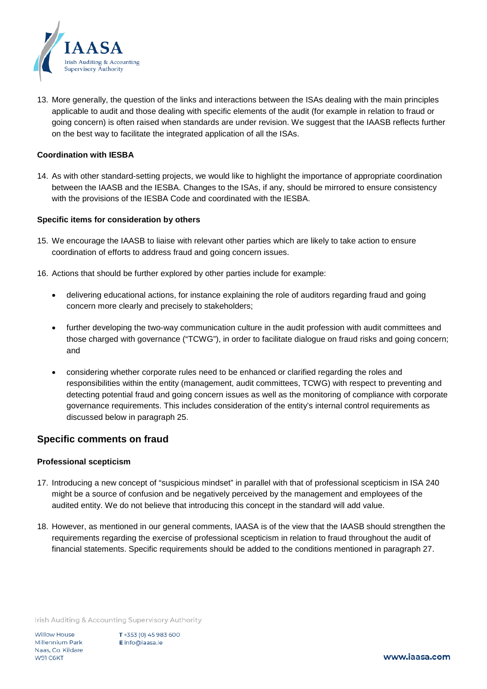

13. More generally, the question of the links and interactions between the ISAs dealing with the main principles applicable to audit and those dealing with specific elements of the audit (for example in relation to fraud or going concern) is often raised when standards are under revision. We suggest that the IAASB reflects further on the best way to facilitate the integrated application of all the ISAs.

#### **Coordination with IESBA**

14. As with other standard-setting projects, we would like to highlight the importance of appropriate coordination between the IAASB and the IESBA. Changes to the ISAs, if any, should be mirrored to ensure consistency with the provisions of the IESBA Code and coordinated with the IESBA.

#### **Specific items for consideration by others**

- 15. We encourage the IAASB to liaise with relevant other parties which are likely to take action to ensure coordination of efforts to address fraud and going concern issues.
- 16. Actions that should be further explored by other parties include for example:
	- delivering educational actions, for instance explaining the role of auditors regarding fraud and going concern more clearly and precisely to stakeholders;
	- further developing the two-way communication culture in the audit profession with audit committees and those charged with governance ("TCWG"), in order to facilitate dialogue on fraud risks and going concern; and
	- considering whether corporate rules need to be enhanced or clarified regarding the roles and responsibilities within the entity (management, audit committees, TCWG) with respect to preventing and detecting potential fraud and going concern issues as well as the monitoring of compliance with corporate governance requirements. This includes consideration of the entity's internal control requirements as discussed below in paragraph 25.

## **Specific comments on fraud**

#### **Professional scepticism**

- 17. Introducing a new concept of "suspicious mindset" in parallel with that of professional scepticism in ISA 240 might be a source of confusion and be negatively perceived by the management and employees of the audited entity. We do not believe that introducing this concept in the standard will add value.
- 18. However, as mentioned in our general comments, IAASA is of the view that the IAASB should strengthen the requirements regarding the exercise of professional scepticism in relation to fraud throughout the audit of financial statements. Specific requirements should be added to the conditions mentioned in paragraph 27.

Irish Auditing & Accounting Supervisory Authority

**Willow House Millennium Park** Naas, Co. Kildare W91 C6KT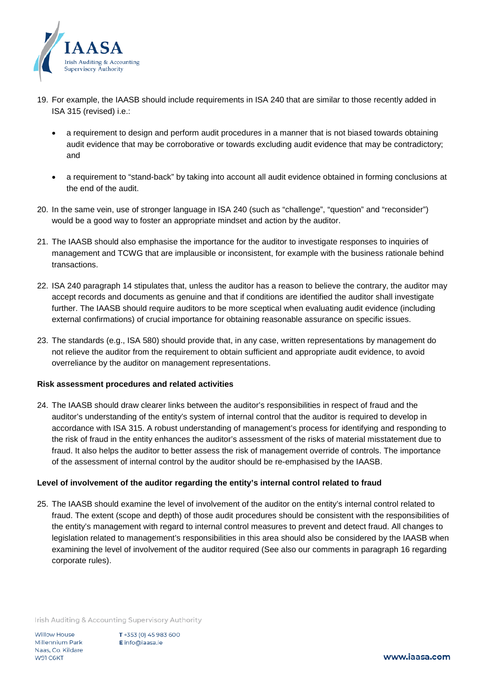

- 19. For example, the IAASB should include requirements in ISA 240 that are similar to those recently added in ISA 315 (revised) i.e.:
	- a requirement to design and perform audit procedures in a manner that is not biased towards obtaining audit evidence that may be corroborative or towards excluding audit evidence that may be contradictory; and
	- a requirement to "stand-back" by taking into account all audit evidence obtained in forming conclusions at the end of the audit.
- 20. In the same vein, use of stronger language in ISA 240 (such as "challenge", "question" and "reconsider") would be a good way to foster an appropriate mindset and action by the auditor.
- 21. The IAASB should also emphasise the importance for the auditor to investigate responses to inquiries of management and TCWG that are implausible or inconsistent, for example with the business rationale behind transactions.
- 22. ISA 240 paragraph 14 stipulates that, unless the auditor has a reason to believe the contrary, the auditor may accept records and documents as genuine and that if conditions are identified the auditor shall investigate further. The IAASB should require auditors to be more sceptical when evaluating audit evidence (including external confirmations) of crucial importance for obtaining reasonable assurance on specific issues.
- 23. The standards (e.g., ISA 580) should provide that, in any case, written representations by management do not relieve the auditor from the requirement to obtain sufficient and appropriate audit evidence, to avoid overreliance by the auditor on management representations.

### **Risk assessment procedures and related activities**

24. The IAASB should draw clearer links between the auditor's responsibilities in respect of fraud and the auditor's understanding of the entity's system of internal control that the auditor is required to develop in accordance with ISA 315. A robust understanding of management's process for identifying and responding to the risk of fraud in the entity enhances the auditor's assessment of the risks of material misstatement due to fraud. It also helps the auditor to better assess the risk of management override of controls. The importance of the assessment of internal control by the auditor should be re-emphasised by the IAASB.

#### **Level of involvement of the auditor regarding the entity's internal control related to fraud**

25. The IAASB should examine the level of involvement of the auditor on the entity's internal control related to fraud. The extent (scope and depth) of those audit procedures should be consistent with the responsibilities of the entity's management with regard to internal control measures to prevent and detect fraud. All changes to legislation related to management's responsibilities in this area should also be considered by the IAASB when examining the level of involvement of the auditor required (See also our comments in paragraph 16 regarding corporate rules).

Irish Auditing & Accounting Supervisory Authority

**Willow House Millennium Park** Naas, Co. Kildare W91 C6KT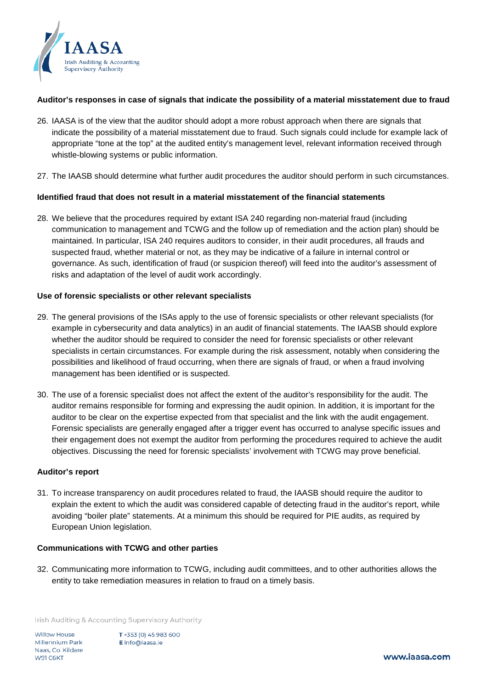

### **Auditor's responses in case of signals that indicate the possibility of a material misstatement due to fraud**

- 26. IAASA is of the view that the auditor should adopt a more robust approach when there are signals that indicate the possibility of a material misstatement due to fraud. Such signals could include for example lack of appropriate "tone at the top" at the audited entity's management level, relevant information received through whistle-blowing systems or public information.
- 27. The IAASB should determine what further audit procedures the auditor should perform in such circumstances.

## **Identified fraud that does not result in a material misstatement of the financial statements**

28. We believe that the procedures required by extant ISA 240 regarding non-material fraud (including communication to management and TCWG and the follow up of remediation and the action plan) should be maintained. In particular, ISA 240 requires auditors to consider, in their audit procedures, all frauds and suspected fraud, whether material or not, as they may be indicative of a failure in internal control or governance. As such, identification of fraud (or suspicion thereof) will feed into the auditor's assessment of risks and adaptation of the level of audit work accordingly.

### **Use of forensic specialists or other relevant specialists**

- 29. The general provisions of the ISAs apply to the use of forensic specialists or other relevant specialists (for example in cybersecurity and data analytics) in an audit of financial statements. The IAASB should explore whether the auditor should be required to consider the need for forensic specialists or other relevant specialists in certain circumstances. For example during the risk assessment, notably when considering the possibilities and likelihood of fraud occurring, when there are signals of fraud, or when a fraud involving management has been identified or is suspected.
- 30. The use of a forensic specialist does not affect the extent of the auditor's responsibility for the audit. The auditor remains responsible for forming and expressing the audit opinion. In addition, it is important for the auditor to be clear on the expertise expected from that specialist and the link with the audit engagement. Forensic specialists are generally engaged after a trigger event has occurred to analyse specific issues and their engagement does not exempt the auditor from performing the procedures required to achieve the audit objectives. Discussing the need for forensic specialists' involvement with TCWG may prove beneficial.

### **Auditor's report**

31. To increase transparency on audit procedures related to fraud, the IAASB should require the auditor to explain the extent to which the audit was considered capable of detecting fraud in the auditor's report, while avoiding "boiler plate" statements. At a minimum this should be required for PIE audits, as required by European Union legislation.

### **Communications with TCWG and other parties**

32. Communicating more information to TCWG, including audit committees, and to other authorities allows the entity to take remediation measures in relation to fraud on a timely basis.

Irish Auditing & Accounting Supervisory Authority

Willow House **Millennium Park** Naas, Co. Kildare W91 C6KT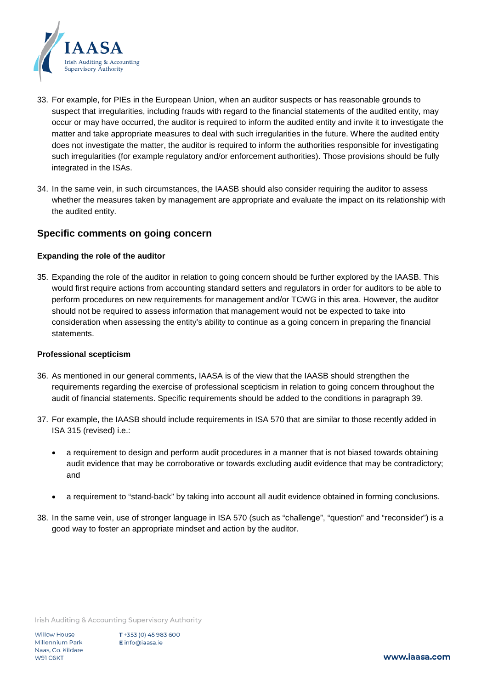

- 33. For example, for PIEs in the European Union, when an auditor suspects or has reasonable grounds to suspect that irregularities, including frauds with regard to the financial statements of the audited entity, may occur or may have occurred, the auditor is required to inform the audited entity and invite it to investigate the matter and take appropriate measures to deal with such irregularities in the future. Where the audited entity does not investigate the matter, the auditor is required to inform the authorities responsible for investigating such irregularities (for example regulatory and/or enforcement authorities). Those provisions should be fully integrated in the ISAs.
- 34. In the same vein, in such circumstances, the IAASB should also consider requiring the auditor to assess whether the measures taken by management are appropriate and evaluate the impact on its relationship with the audited entity.

## **Specific comments on going concern**

### **Expanding the role of the auditor**

35. Expanding the role of the auditor in relation to going concern should be further explored by the IAASB. This would first require actions from accounting standard setters and regulators in order for auditors to be able to perform procedures on new requirements for management and/or TCWG in this area. However, the auditor should not be required to assess information that management would not be expected to take into consideration when assessing the entity's ability to continue as a going concern in preparing the financial statements.

### **Professional scepticism**

- 36. As mentioned in our general comments, IAASA is of the view that the IAASB should strengthen the requirements regarding the exercise of professional scepticism in relation to going concern throughout the audit of financial statements. Specific requirements should be added to the conditions in paragraph 39.
- 37. For example, the IAASB should include requirements in ISA 570 that are similar to those recently added in ISA 315 (revised) i.e.:
	- a requirement to design and perform audit procedures in a manner that is not biased towards obtaining audit evidence that may be corroborative or towards excluding audit evidence that may be contradictory; and
	- a requirement to "stand-back" by taking into account all audit evidence obtained in forming conclusions.
- 38. In the same vein, use of stronger language in ISA 570 (such as "challenge", "question" and "reconsider") is a good way to foster an appropriate mindset and action by the auditor.

Irish Auditing & Accounting Supervisory Authority

Willow House **Millennium Park** Naas, Co. Kildare W91 C6KT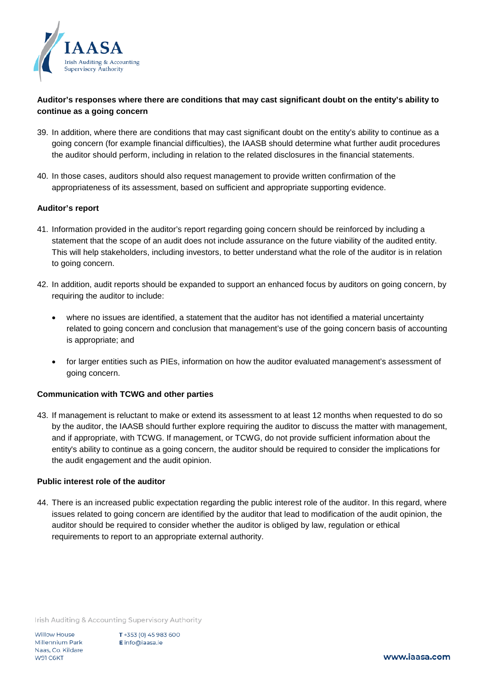

## **Auditor's responses where there are conditions that may cast significant doubt on the entity's ability to continue as a going concern**

- 39. In addition, where there are conditions that may cast significant doubt on the entity's ability to continue as a going concern (for example financial difficulties), the IAASB should determine what further audit procedures the auditor should perform, including in relation to the related disclosures in the financial statements.
- 40. In those cases, auditors should also request management to provide written confirmation of the appropriateness of its assessment, based on sufficient and appropriate supporting evidence.

#### **Auditor's report**

- 41. Information provided in the auditor's report regarding going concern should be reinforced by including a statement that the scope of an audit does not include assurance on the future viability of the audited entity. This will help stakeholders, including investors, to better understand what the role of the auditor is in relation to going concern.
- 42. In addition, audit reports should be expanded to support an enhanced focus by auditors on going concern, by requiring the auditor to include:
	- where no issues are identified, a statement that the auditor has not identified a material uncertainty related to going concern and conclusion that management's use of the going concern basis of accounting is appropriate; and
	- for larger entities such as PIEs, information on how the auditor evaluated management's assessment of going concern.

### **Communication with TCWG and other parties**

43. If management is reluctant to make or extend its assessment to at least 12 months when requested to do so by the auditor, the IAASB should further explore requiring the auditor to discuss the matter with management, and if appropriate, with TCWG. If management, or TCWG, do not provide sufficient information about the entity's ability to continue as a going concern, the auditor should be required to consider the implications for the audit engagement and the audit opinion.

### **Public interest role of the auditor**

44. There is an increased public expectation regarding the public interest role of the auditor. In this regard, where issues related to going concern are identified by the auditor that lead to modification of the audit opinion, the auditor should be required to consider whether the auditor is obliged by law, regulation or ethical requirements to report to an appropriate external authority.

Irish Auditing & Accounting Supervisory Authority

**Willow House** Millennium Park Naas, Co. Kildare W91 C6KT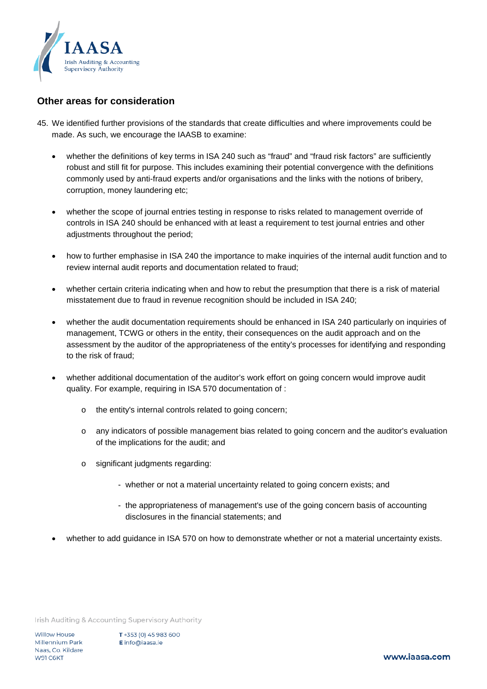

# **Other areas for consideration**

- 45. We identified further provisions of the standards that create difficulties and where improvements could be made. As such, we encourage the IAASB to examine:
	- whether the definitions of key terms in ISA 240 such as "fraud" and "fraud risk factors" are sufficiently robust and still fit for purpose. This includes examining their potential convergence with the definitions commonly used by anti-fraud experts and/or organisations and the links with the notions of bribery, corruption, money laundering etc;
	- whether the scope of journal entries testing in response to risks related to management override of controls in ISA 240 should be enhanced with at least a requirement to test journal entries and other adjustments throughout the period;
	- how to further emphasise in ISA 240 the importance to make inquiries of the internal audit function and to review internal audit reports and documentation related to fraud;
	- whether certain criteria indicating when and how to rebut the presumption that there is a risk of material misstatement due to fraud in revenue recognition should be included in ISA 240;
	- whether the audit documentation requirements should be enhanced in ISA 240 particularly on inquiries of management, TCWG or others in the entity, their consequences on the audit approach and on the assessment by the auditor of the appropriateness of the entity's processes for identifying and responding to the risk of fraud;
	- whether additional documentation of the auditor's work effort on going concern would improve audit quality. For example, requiring in ISA 570 documentation of :
		- o the entity's internal controls related to going concern;
		- o any indicators of possible management bias related to going concern and the auditor's evaluation of the implications for the audit; and
		- o significant judgments regarding:
			- whether or not a material uncertainty related to going concern exists; and
			- the appropriateness of management's use of the going concern basis of accounting disclosures in the financial statements; and
	- whether to add guidance in ISA 570 on how to demonstrate whether or not a material uncertainty exists.

Irish Auditing & Accounting Supervisory Authority

Willow House Millennium Park Naas, Co. Kildare W91 C6KT